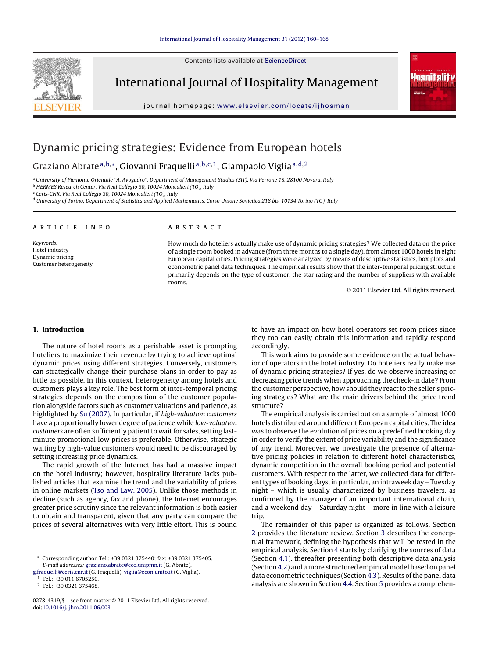Contents lists available at [ScienceDirect](http://www.sciencedirect.com/science/journal/02784319)



International Journal of Hospitality Management

journal homepage: [www.elsevier.com/locate/ijhosman](http://www.elsevier.com/locate/ijhosman)



## Dynamic pricing strategies: Evidence from European hotels

Graziano Abrate<sup>a, b,∗</sup>, Giovanni Fraquelli<sup>a, b, c, 1</sup>, Giampaolo Viglia<sup>a, d, 2</sup>

a University of Piemonte Orientale "A. Avogadro", Department of Management Studies (SIT), Via Perrone 18, 28100 Novara, Italy

<sup>b</sup> HERMES Research Center, Via Real Collegio 30, 10024 Moncalieri (TO), Italy

<sup>c</sup> Ceris-CNR, Via Real Collegio 30, 10024 Moncalieri (TO), Italy

<sup>d</sup> University of Torino, Department of Statistics and Applied Mathematics, Corso Unione Sovietica 218 bis, 10134 Torino (TO), Italy

|  |  |  |  |  |  |  |  | ARTICLE INFO |  |  |  |
|--|--|--|--|--|--|--|--|--------------|--|--|--|
|--|--|--|--|--|--|--|--|--------------|--|--|--|

Keywords: Hotel industry Dynamic pricing Customer heterogeneity

#### **ABSTRACT**

How much do hoteliers actually make use of dynamic pricing strategies? We collected data on the price of a single room booked in advance (from three months to a single day), from almost 1000 hotels in eight European capital cities. Pricing strategies were analyzed by means of descriptive statistics, box plots and econometric panel data techniques. The empirical results show that the inter-temporal pricing structure primarily depends on the type of customer, the star rating and the number of suppliers with available rooms.

© 2011 Elsevier Ltd. All rights reserved.

### **1. Introduction**

The nature of hotel rooms as a perishable asset is prompting hoteliers to maximize their revenue by trying to achieve optimal dynamic prices using different strategies. Conversely, customers can strategically change their purchase plans in order to pay as little as possible. In this context, heterogeneity among hotels and customers plays a key role. The best form of inter-temporal pricing strategies depends on the composition of the customer population alongside factors such as customer valuations and patience, as highlighted by [Su \(2007\). I](#page--1-0)n particular, if high-valuation customers have a proportionally lower degree of patience while low-valuation customers are often sufficiently patient to wait for sales, setting lastminute promotional low prices is preferable. Otherwise, strategic waiting by high-value customers would need to be discouraged by setting increasing price dynamics.

The rapid growth of the Internet has had a massive impact on the hotel industry; however, hospitality literature lacks published articles that examine the trend and the variability of prices in online markets ([Tso and Law, 2005\).](#page--1-0) Unlike those methods in decline (such as agency, fax and phone), the Internet encourages greater price scrutiny since the relevant information is both easier to obtain and transparent, given that any party can compare the prices of several alternatives with very little effort. This is bound to have an impact on how hotel operators set room prices since they too can easily obtain this information and rapidly respond accordingly.

This work aims to provide some evidence on the actual behavior of operators in the hotel industry. Do hoteliers really make use of dynamic pricing strategies? If yes, do we observe increasing or decreasing price trends when approaching the check-in date? From the customer perspective, how should they react to the seller's pricing strategies? What are the main drivers behind the price trend structure?

The empirical analysis is carried out on a sample of almost 1000 hotels distributed around different European capital cities. The idea was to observe the evolution of prices on a predefined booking day in order to verify the extent of price variability and the significance of any trend. Moreover, we investigate the presence of alternative pricing policies in relation to different hotel characteristics, dynamic competition in the overall booking period and potential customers. With respect to the latter, we collected data for different types of booking days, in particular, an intraweek day – Tuesday night – which is usually characterized by business travelers, as confirmed by the manager of an important international chain, and a weekend day – Saturday night – more in line with a leisure trip.

The remainder of this paper is organized as follows. Section [2](#page-1-0) provides the literature review. Section [3](#page-1-0) describes the conceptual framework, defining the hypothesis that will be tested in the empirical analysis. Section [4](#page--1-0) starts by clarifying the sources of data (Section [4.1\),](#page--1-0) thereafter presenting both descriptive data analysis (Section [4.2\) a](#page--1-0)nd a more structured empirical model based on panel data econometric techniques (Section [4.3\).](#page--1-0) Results of the panel data analysis are shown in Section [4.4. S](#page--1-0)ection [5](#page--1-0) provides a comprehen-

<sup>∗</sup> Corresponding author. Tel.: +39 0321 375440; fax: +39 0321 375405. E-mail addresses: [graziano.abrate@eco.unipmn.it](mailto:graziano.abrate@eco.unipmn.it) (G. Abrate),

[g.fraquelli@ceris.cnr.it](mailto:g.fraquelli@ceris.cnr.it) (G. Fraquelli), [viglia@econ.unito.it](mailto:viglia@econ.unito.it) (G. Viglia).  $1$  Tel: +39 011 6705250

<sup>2</sup> Tel.: +39 0321 375468.

<sup>0278-4319/\$ –</sup> see front matter © 2011 Elsevier Ltd. All rights reserved. doi:[10.1016/j.ijhm.2011.06.003](dx.doi.org/10.1016/j.ijhm.2011.06.003)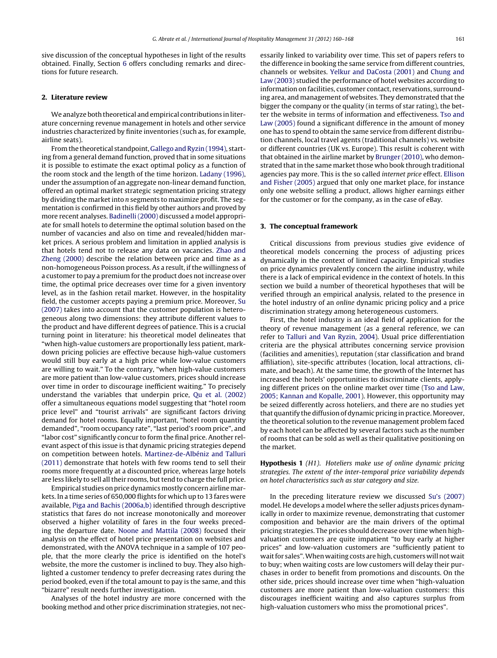<span id="page-1-0"></span>sive discussion of the conceptual hypotheses in light of the results obtained. Finally, Section [6](#page--1-0) offers concluding remarks and directions for future research.

## **2. Literature review**

We analyze both theoretical and empirical contributions in literature concerning revenue management in hotels and other service industries characterized by finite inventories (such as, for example, airline seats).

From the theoretical standpoint, [Gallego and Ryzin \(1994\), s](#page--1-0)tarting from a general demand function, proved that in some situations it is possible to estimate the exact optimal policy as a function of the room stock and the length of the time horizon. [Ladany \(1996\),](#page--1-0) under the assumption of an aggregate non-linear demand function, offered an optimal market strategic segmentation pricing strategy by dividing the market into n segments to maximize profit. The segmentation is confirmed in this field by other authors and proved by more recent analyses. [Badinelli \(2000\)](#page--1-0) discussed a model appropriate for small hotels to determine the optimal solution based on the number of vacancies and also on time and revealed/hidden market prices. A serious problem and limitation in applied analysis is that hotels tend not to release any data on vacancies. [Zhao and](#page--1-0) [Zheng \(2000\)](#page--1-0) describe the relation between price and time as a non-homogeneous Poisson process. As a result, if the willingness of a customer to pay a premium for the product does not increase over time, the optimal price decreases over time for a given inventory level, as in the fashion retail market. However, in the hospitality field, the customer accepts paying a premium price. Moreover, [Su](#page--1-0) [\(2007\)](#page--1-0) takes into account that the customer population is heterogeneous along two dimensions: they attribute different values to the product and have different degrees of patience. This is a crucial turning point in literature: his theoretical model delineates that "when high-value customers are proportionally less patient, markdown pricing policies are effective because high-value customers would still buy early at a high price while low-value customers are willing to wait." To the contrary, "when high-value customers are more patient than low-value customers, prices should increase over time in order to discourage inefficient waiting." To precisely understand the variables that underpin price, [Qu et al. \(2002\)](#page--1-0) offer a simultaneous equations model suggesting that "hotel room price level" and "tourist arrivals" are significant factors driving demand for hotel rooms. Equally important, "hotel room quantity demanded", "room occupancy rate", "last period's room price", and "labor cost" significantly concur to form the final price. Another relevant aspect of this issue is that dynamic pricing strategies depend on competition between hotels. [Martinez-de-Albéniz and Talluri](#page--1-0) [\(2011\)](#page--1-0) demonstrate that hotels with few rooms tend to sell their rooms more frequently at a discounted price, whereas large hotels are less likely to sell all their rooms, but tend to charge the full price.

Empirical studies on price dynamics mostly concern airline markets. In a time series of 650,000 flights for which up to 13 fares were available, [Piga and Bachis \(2006a,b\)](#page--1-0) identified through descriptive statistics that fares do not increase monotonically and moreover observed a higher volatility of fares in the four weeks preceding the departure date. [Noone and Mattila \(2008\)](#page--1-0) focused their analysis on the effect of hotel price presentation on websites and demonstrated, with the ANOVA technique in a sample of 107 people, that the more clearly the price is identified on the hotel's website, the more the customer is inclined to buy. They also highlighted a customer tendency to prefer decreasing rates during the period booked, even if the total amount to pay is the same, and this "bizarre" result needs further investigation.

Analyses of the hotel industry are more concerned with the booking method and other price discrimination strategies, not necessarily linked to variability over time. This set of papers refers to the difference in booking the same service from different countries, channels or websites. [Yelkur and DaCosta \(2001\)](#page--1-0) and [Chung and](#page--1-0) [Law \(2003\)](#page--1-0) studied the performance of hotel websites according to information on facilities, customer contact, reservations, surrounding area, and management of websites. They demonstrated that the bigger the company or the quality (in terms of star rating), the better the website in terms of information and effectiveness. [Tso and](#page--1-0) [Law \(2005\)](#page--1-0) found a significant difference in the amount of money one has to spend to obtain the same service from different distribution channels, local travel agents (traditional channels) vs. website or different countries (UK vs. Europe). This result is coherent with that obtained in the airline market by [Brunger \(2010\), w](#page--1-0)ho demonstrated that in the same market those who book through traditional agencies pay more. This is the so called internet price effect. [Ellison](#page--1-0) [and Fisher \(2005\)](#page--1-0) argued that only one market place, for instance only one website selling a product, allows higher earnings either for the customer or for the company, as in the case of eBay.

## **3. The conceptual framework**

Critical discussions from previous studies give evidence of theoretical models concerning the process of adjusting prices dynamically in the context of limited capacity. Empirical studies on price dynamics prevalently concern the airline industry, while there is a lack of empirical evidence in the context of hotels. In this section we build a number of theoretical hypotheses that will be verified through an empirical analysis, related to the presence in the hotel industry of an online dynamic pricing policy and a price discrimination strategy among heterogeneous customers.

First, the hotel industry is an ideal field of application for the theory of revenue management (as a general reference, we can refer to [Talluri and Van Ryzin, 2004\).](#page--1-0) Usual price differentiation criteria are the physical attributes concerning service provision (facilities and amenities), reputation (star classification and brand affiliation), site-specific attributes (location, local attractions, climate, and beach). At the same time, the growth of the Internet has increased the hotels' opportunities to discriminate clients, applying different prices on the online market over time [\(Tso and Law,](#page--1-0) [2005; Kannan and Kopalle, 2001\).](#page--1-0) However, this opportunity may be seized differently across hoteliers, and there are no studies yet that quantify the diffusion of dynamic pricing in practice.Moreover, the theoretical solution to the revenue management problem faced by each hotel can be affected by several factors such as the number of rooms that can be sold as well as their qualitative positioning on the market.

**Hypothesis 1** (H1). Hoteliers make use of online dynamic pricing strategies. The extent of the inter-temporal price variability depends on hotel characteristics such as star category and size.

In the preceding literature review we discussed [Su's \(2007\)](#page--1-0) model. He develops a model where the seller adjusts prices dynamically in order to maximize revenue, demonstrating that customer composition and behavior are the main drivers of the optimal pricing strategies. The prices should decrease over time when highvaluation customers are quite impatient "to buy early at higher prices" and low-valuation customers are "sufficiently patient to wait for sales".When waiting costs are high, customers will not wait to buy; when waiting costs are low customers will delay their purchases in order to benefit from promotions and discounts. On the other side, prices should increase over time when "high-valuation customers are more patient than low-valuation customers: this discourages inefficient waiting and also captures surplus from high-valuation customers who miss the promotional prices".